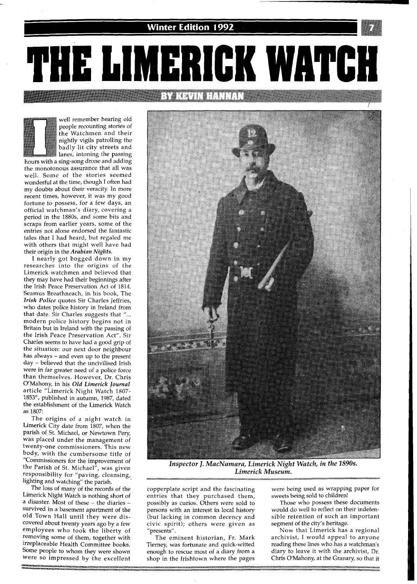

PHE LIMERICK WATCH IGA I DI HEI DELLE

well remember hearing old people recounting stories of the Watchmen and their nightly vigils patrolling the badly lit city streets and lanes, intoning the passing

hours with a sing-song drone and adding the monotonous assurance that all was well. Some of the stories seemed wonderful at the time, though I often had my doubts about their veracity. In more recent times, however, it was my good fortune to possess, for a few days, an official watchman's diary, covering a period in the 1880s, and some bits and scraps from earlier years, some of the entries not alone endorsed the fantastic tales that I had heard, but regaled me with others that might well have had their origin in the *Arabian Nights.* 

I nearly got bogged down in my researches into the origins of the Limerick watchmen and believed that they may have had their beginnings after the Irish Peace Preservation Act of 1814. Seamus Breathneach, in his book, The *Irish Police* quotes Sir Charles Jeffries, who dates police history in Ireland from that date. Sir Charles suggests that "... modern police history begins not in Britain but in Ireland with the passing of the Irish Peace Preservation Act". Sir Charles seems to have had a good grip of the situation: our next door neighbour has always - and even up to the present day - believed that the uncivilised Irish were in far greater need of a police force than themselves. However, Dr. Chris O'Mahony, in his *Old Limerick Journal*  article "Limerick Night Watch 1807- 1853", published in autumn, 1987, dated the establishment of the Limerick Watch as 1807:

The origins of a night watch in Limerick City date from 1807, when the parish of St. Michael, or Newtown Pery, was placed under the management of twenty-one commissioners. This new body, with the cumbersome title of "Commissioners for the improvement of the Parish of St. Michael", was given esponsibility for "paving, cleansing, lighting and watching" the parish.

The loss of many of the records of the Limerick Night Watch is nothing short of a disaster. Most of these - the diaries survived in a basement apartment of the old Town Hall until they were discovered about twenty years ago by a few employees who took the liberty of removing some of them, together with irreplaceable Health Committee books. Some people to whom they were shown were so impressed by the excellent



*Inspector J. MacNamara, Limerick Night Watch, in the* **1890s.**  *Limerick Museum.* 

copperplate script and the fascinating entries that they purchased them, possibly as curios. Others were sold to persons with an interest in local history (but lacking in common decency and civic spirit); others were given as "presents".

The eminent historian, Fr. Mark Tierney, was fortunate and quick-witted enough to rescue most of a diary from a shop in the Irishtown where the pages were being used as wrapping paper for sweets being sold to children!

Those who possess these documents would do well to reflect on their indefensible retention of such an important segment of the city's heritage.

Now that Limerick has a regional archivist, I would appeal to anyone reading these lines who has a watchman's diary to leave it with the archivist, Dr. Chris O'Mahony, at the Granary, so that it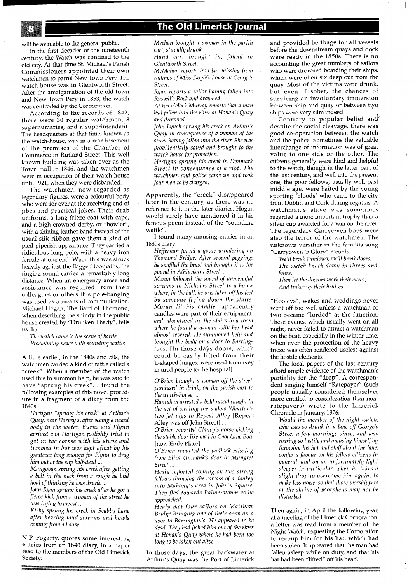will be available to the general public.

In the first decades of the nineteenth century, the Watch was confined to the old city. At that time St. Michael's Parish Commissioners appointed their own watchmen to patrol New Town Pery. The watch-house was in Glentworth Street. After the amalgamation of the old town and New Town Pery in 1853, the watch was controlled by the Corporation.

According to the records of 1842, there were 30 regular watchmen, 8 supernumaries, and a superintendant. The headquarters at that time, known as the watch-house, was in a rear basement of the premises of the Chamber of Commerce in Rutland Street. This well known building was taken over as the Town Hall in 1846, and the watchmen were in occupation of their watch-house until 1921, when they were disbanded.

The watchmen, now regarded as legendary figures, were a colourful body who were for ever at the receiving end of jibes and practical jokes. Their drab uniforms, a long frieze coat with cape, and a high crowned derby, or "bowler", with a shining leather band instead of the usual silk ribbon gave them a kind of pied-piperish appearance. They carried a ridiculous long pole, with a heavy iron ferrule at one end. When this was struck heavily against the flagged footpaths, the ringing sound carried a remarkably long distance. When an emergency arose and assistance was required from their colleagues or others this pole-banging was used as a means of communication. Michael Hogan, The Bard of Thomond, when describing the shindy in the public house created by "Drunken Thady", tells us that:

*The watch came to the scene of battle Proclaiming peace with sounding wattle.* 

A little earlier, in the 1840s and 50s, the watchmen carried a kind of rattle called a "creek". When a member of the watch used this to summon help, he was said to have "sprung his creek". I found the following examples of this novel procedure in a fragment of a diary from the 1840s:

*Hartigan "sprung his creek at Arthur's Quay, near Harvey's, after seeing a naked body in the water. Burns and Flynn arrived and Hartigan foolishly tried to get in the corpse with his stave and tumbled in but was kept afloat by his greatcoat long enough for Flynn to drag him out at the slip half-dead* ...

*Mungovan sprung his creek after getting a belt in the neck from a rough he laid hold of thinking he was drunk* ...

*John Ryan sprung his creek after he got a fierce kick from a woman of the street he was trying to arrest* ...

*Kirby sprung his creek in Scabby Lane after hearing loud screams and howls coming from a house.* 

N.P. Fogarty, quotes some interesting entries from an 1840 diary, in a paper read to the members of the Old Limerick Society:

*Meehan brought a woman in the parish cart, stupidly drunk* 

*Hand cart brought in, found in Glentworth Street.* 

*McMahon reports iron bar missing from*  railings of Miss Doyle's house in George's *Street.* 

*Ryan reports a sailor having fallen into Russell's Rock and drowned.* 

*At ten o'clock Murray reports that a man had fallen into the river at Honan's Quay and drowned.* 

*John Lynch sprung his creek on Arthur's Quay in consequence of a woman of the street havinx fallen into the river. She was providentially saved and brought to the watch-house for protection.* 

*Hartigan sprung his creek in Denmark Street in consequence of a riot. The watchmen and police came up and took four men to be charged.* 

Apparently, the "creek" disappeared later in the century, as there was no reference to it in the later diaries. Hogan would surely have mentioned it in his famous poem instead of the "sounding wattle".

I found many amusing entries in an 1880s diary:

*Heffernan found a goose wandering on Thomond Bridge. After several peggings he snaffled the beast nnd brought it to the pound in Athlunkard Street* ...

*Moran followed the sound of unmerciful screams in Nicholas Street to a house where, in the hall, he was taken off his feet by someone flying down the stairs. Moran lit his candle* [apparently candles were part of their equipment] *and adventured up the stairs to a room where he found a woman with her head almost severed. He summoned help and brought the body on a door to Barringtons.* [In those days doors, which could be easily lifted from their L-shaped hinges; were used to convey injured people to the hospital]

*O'Brien brought a woman off the street, paralysed in drink, on the parish cart to the watch-house* ...

*Hanrahan arrested a bold rascal caught in the act of stealing the widow Wharton's two fat pigs in Repeal Alley* [Repeal Alley was off John Street] ...

*O'Brien reported Clancy's horse kicking the stable door like mad in Gaol Lane Bow*  [now Emly Place] ...

*O'Brien reported the padlock missing from Eliza Unthank's door in Mungret Street* ...

*Healy reported coming on two strong fellows throwing the carcass of a donkey into Mahony's area in John's Square. They fled towards Palmerstown as he approached.* 

*Healy met four sailors on Matthew Bridge bringing one of their crew on a door to Barrington's. He appeared to be dead. They had fished him out of the river at Honan's Quay where he had been too long to be taken out alive.* 

In those days, the great backwater at Arthur's Quay was the Port of Limerick

and provided berthage for all vessels before the downstream quays and dock were ready in the 1850s. There is no accounting the great numbers of sailors who were drowned boarding their ships, which were often six deep out from the quay. Most of the victims were drunk, but even if sober, the chances of surviving an involuntary immersion between ship and quay or between two ships were very slim indeed.

Contrary to popular belief and despite the social cleavage, there was good co-operation between the watch and the police. Sometimes the valuable interchange of information was of great value to one side or the other. The citizens generally were kind and helpful to the watch, though in the latter part of the last century, and well into the present one, the poor~fellows, usually well past middle age, were baited by the young sporting 'bloods' who came to the city from Dublin and Cork during regattas. A watchman's stave was sometimes regarded a more important trophy than a silver cup awarded for a win on the river. The legendary Garryowen boys were also the terror of the watchmen. The unknown versifier in the famous song "Garryowen 'n Glory" records:

*We'll break windows, we'll break doors, The watch knock down in threes and fours,* 

*Then let the doctors work their cures, And tinker up their bruises.* 

"Hooleys", wakes and weddings never went off too well unless a watchman or two became "lorded" at the function. These events, which usually went on all night, never failed to attract a watchman on the beat, especially in the winter time, when even the protection of the heavy frieze was often rendered useless against the hostile elements.

The local papers of the last century afford ample evidence of the watchman's partiality for the "drop". A correspondent singing himself "Ratepayer" (such people usually considered themselves more entitled to consideration than nonratepayers) wrote to the Limerick Chronicle in January, 1876:

*Would the member of the night watch,*  who was so drunk in a lane off George's *Street a few mornings since, and was roaring so lustily and amusing himself by throwing his hat and staff about the lane, confer a favour on his fellow citizens in general, and on an unfortunately light sleeper in particular, when he takes a slight drop to overcome him again, to make less noise, so that those worshippers at the shrine of Morpheus may not be disturbed.* 

Then again, in April the following year, at a meeting of the Limerick Corporation, a letter was read from a member of the Night Watch, requesting the Corporation to recoup him for his hat, which had been stolen. It appeared that the man had fallen asleep while on duty, and that his hat had been "lifted" off his head.

ţ